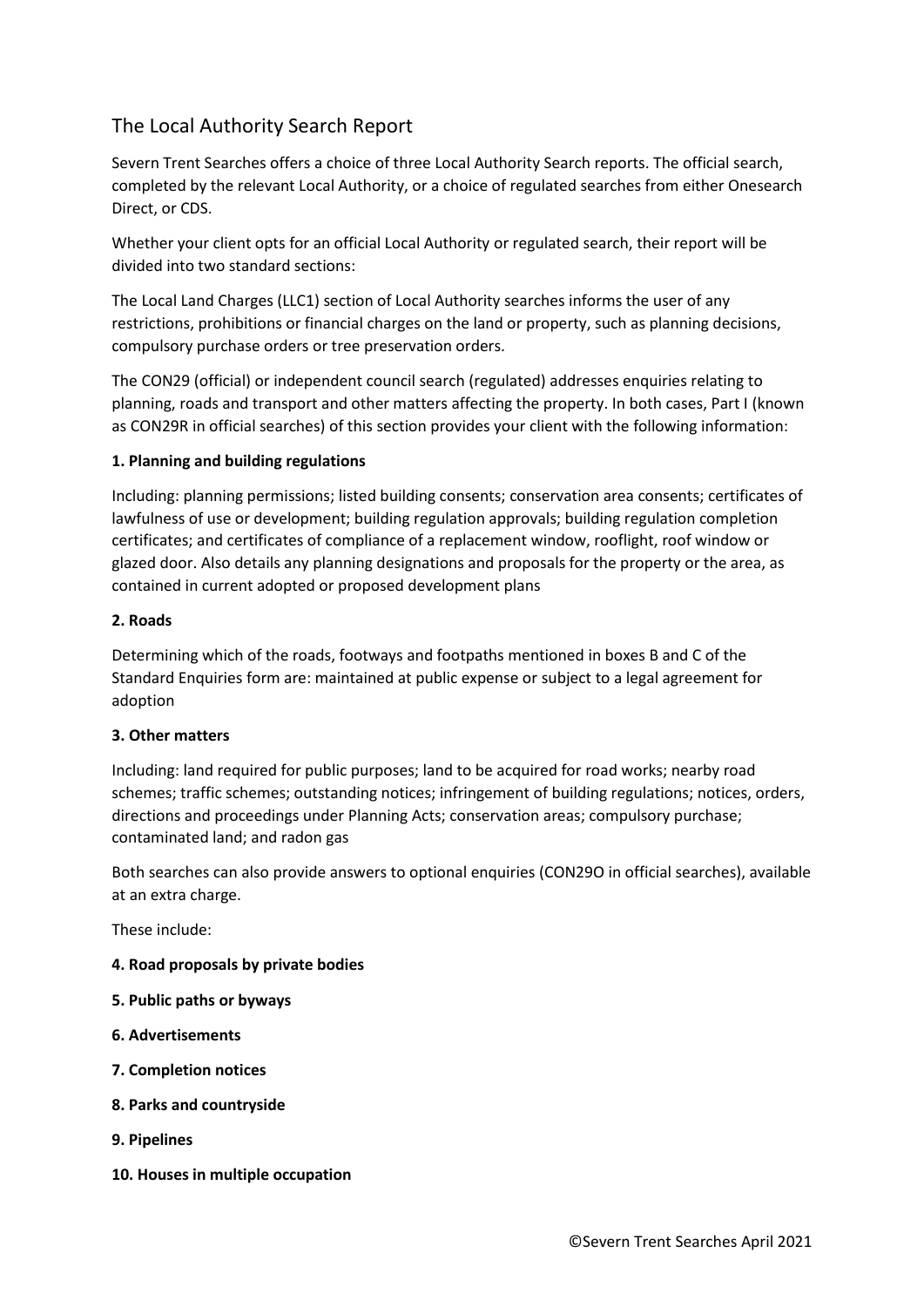# The Local Authority Search Report

Severn Trent Searches offers a choice of three Local Authority Search reports. The official search, completed by the relevant Local Authority, or a choice of regulated searches from either Onesearch Direct, or CDS.

Whether your client opts for an official Local Authority or regulated search, their report will be divided into two standard sections:

The Local Land Charges (LLC1) section of Local Authority searches informs the user of any restrictions, prohibitions or financial charges on the land or property, such as planning decisions, compulsory purchase orders or tree preservation orders.

The CON29 (official) or independent council search (regulated) addresses enquiries relating to planning, roads and transport and other matters affecting the property. In both cases, Part I (known as CON29R in official searches) of this section provides your client with the following information:

## **1. Planning and building regulations**

Including: planning permissions; listed building consents; conservation area consents; certificates of lawfulness of use or development; building regulation approvals; building regulation completion certificates; and certificates of compliance of a replacement window, rooflight, roof window or glazed door. Also details any planning designations and proposals for the property or the area, as contained in current adopted or proposed development plans

## **2. Roads**

Determining which of the roads, footways and footpaths mentioned in boxes B and C of the Standard Enquiries form are: maintained at public expense or subject to a legal agreement for adoption

## **3. Other matters**

Including: land required for public purposes; land to be acquired for road works; nearby road schemes; traffic schemes; outstanding notices; infringement of building regulations; notices, orders, directions and proceedings under Planning Acts; conservation areas; compulsory purchase; contaminated land; and radon gas

Both searches can also provide answers to optional enquiries (CON29O in official searches), available at an extra charge.

These include:

- **4. Road proposals by private bodies**
- **5. Public paths or byways**
- **6. Advertisements**
- **7. Completion notices**
- **8. Parks and countryside**
- **9. Pipelines**
- **10. Houses in multiple occupation**